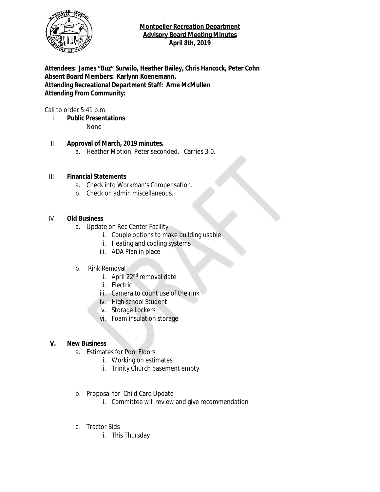

### **Montpelier Recreation Department Advisory Board Meeting Minutes April 8th, 2019**

**Attendees: James "Buz" Surwilo, Heather Bailey, Chris Hancock, Peter Cohn Absent Board Members: Karlynn Koenemann, Attending Recreational Department Staff: Arne McMullen Attending From Community:**

Call to order 5:41 p.m.

I. **Public Presentations** None

### II. **Approval of March, 2019 minutes.**

a. Heather Motion, Peter seconded. Carries 3-0.

#### III. **Financial Statements**

- a. Check into Workman's Compensation.
- b. Check on admin miscellaneous.

#### IV. **Old Business**

- a. Update on Rec Center Facility
	- i. Couple options to make building usable
	- ii. Heating and cooling systems
	- iii. ADA Plan in place
- b. Rink Removal
	- i. April 22<sup>nd</sup> removal date
	- ii. Electric
	- iii. Camera to count use of the rink
	- iv. High school Student
	- v. Storage Lockers
	- vi. Foam insulation storage

#### **V. New Business**

- a. Estimates for Pool Floors
	- i. Working on estimates
	- ii. Trinity Church basement empty
- b. Proposal for Child Care Update
	- i. Committee will review and give recommendation
- c. Tractor Bids
	- i. This Thursday